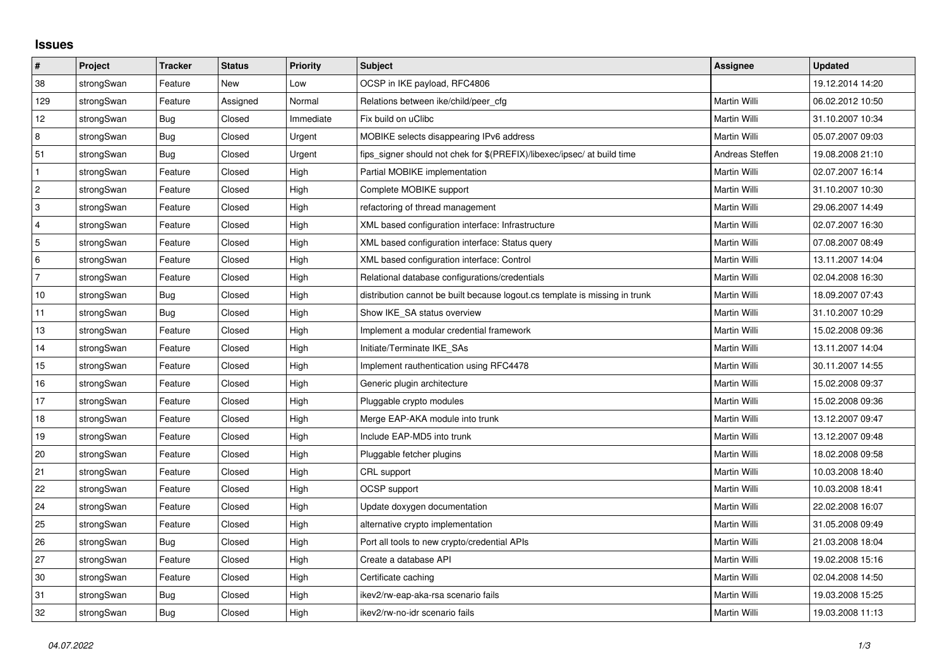## **Issues**

| $\vert$ #      | Project    | <b>Tracker</b> | <b>Status</b> | <b>Priority</b> | <b>Subject</b>                                                              | <b>Assignee</b> | <b>Updated</b>   |
|----------------|------------|----------------|---------------|-----------------|-----------------------------------------------------------------------------|-----------------|------------------|
| 38             | strongSwan | Feature        | <b>New</b>    | Low             | OCSP in IKE payload, RFC4806                                                |                 | 19.12.2014 14:20 |
| 129            | strongSwan | Feature        | Assigned      | Normal          | Relations between ike/child/peer cfg                                        | Martin Willi    | 06.02.2012 10:50 |
| 12             | strongSwan | Bug            | Closed        | Immediate       | Fix build on uClibc                                                         | Martin Willi    | 31.10.2007 10:34 |
| 8              | strongSwan | Bug            | Closed        | Urgent          | MOBIKE selects disappearing IPv6 address                                    | Martin Willi    | 05.07.2007 09:03 |
| 51             | strongSwan | Bug            | Closed        | Urgent          | fips signer should not chek for \$(PREFIX)/libexec/ipsec/ at build time     | Andreas Steffen | 19.08.2008 21:10 |
| $\mathbf{1}$   | strongSwan | Feature        | Closed        | High            | Partial MOBIKE implementation                                               | Martin Willi    | 02.07.2007 16:14 |
| $\overline{2}$ | strongSwan | Feature        | Closed        | High            | Complete MOBIKE support                                                     | Martin Willi    | 31.10.2007 10:30 |
| $\sqrt{3}$     | strongSwan | Feature        | Closed        | High            | refactoring of thread management                                            | Martin Willi    | 29.06.2007 14:49 |
| 4              | strongSwan | Feature        | Closed        | High            | XML based configuration interface: Infrastructure                           | Martin Willi    | 02.07.2007 16:30 |
| 5              | strongSwan | Feature        | Closed        | High            | XML based configuration interface: Status query                             | Martin Willi    | 07.08.2007 08:49 |
| 6              | strongSwan | Feature        | Closed        | High            | XML based configuration interface: Control                                  | Martin Willi    | 13.11.2007 14:04 |
| $\overline{7}$ | strongSwan | Feature        | Closed        | High            | Relational database configurations/credentials                              | Martin Willi    | 02.04.2008 16:30 |
| 10             | strongSwan | Bug            | Closed        | High            | distribution cannot be built because logout.cs template is missing in trunk | Martin Willi    | 18.09.2007 07:43 |
| 11             | strongSwan | Bug            | Closed        | High            | Show IKE_SA status overview                                                 | Martin Willi    | 31.10.2007 10:29 |
| 13             | strongSwan | Feature        | Closed        | High            | Implement a modular credential framework                                    | Martin Willi    | 15.02.2008 09:36 |
| 14             | strongSwan | Feature        | Closed        | High            | Initiate/Terminate IKE_SAs                                                  | Martin Willi    | 13.11.2007 14:04 |
| 15             | strongSwan | Feature        | Closed        | High            | Implement rauthentication using RFC4478                                     | Martin Willi    | 30.11.2007 14:55 |
| 16             | strongSwan | Feature        | Closed        | High            | Generic plugin architecture                                                 | Martin Willi    | 15.02.2008 09:37 |
| 17             | strongSwan | Feature        | Closed        | High            | Pluggable crypto modules                                                    | Martin Willi    | 15.02.2008 09:36 |
| 18             | strongSwan | Feature        | Closed        | High            | Merge EAP-AKA module into trunk                                             | Martin Willi    | 13.12.2007 09:47 |
| 19             | strongSwan | Feature        | Closed        | High            | Include EAP-MD5 into trunk                                                  | Martin Willi    | 13.12.2007 09:48 |
| 20             | strongSwan | Feature        | Closed        | High            | Pluggable fetcher plugins                                                   | Martin Willi    | 18.02.2008 09:58 |
| 21             | strongSwan | Feature        | Closed        | High            | CRL support                                                                 | Martin Willi    | 10.03.2008 18:40 |
| 22             | strongSwan | Feature        | Closed        | High            | OCSP support                                                                | Martin Willi    | 10.03.2008 18:41 |
| 24             | strongSwan | Feature        | Closed        | High            | Update doxygen documentation                                                | Martin Willi    | 22.02.2008 16:07 |
| 25             | strongSwan | Feature        | Closed        | High            | alternative crypto implementation                                           | Martin Willi    | 31.05.2008 09:49 |
| 26             | strongSwan | Bug            | Closed        | High            | Port all tools to new crypto/credential APIs                                | Martin Willi    | 21.03.2008 18:04 |
| 27             | strongSwan | Feature        | Closed        | High            | Create a database API                                                       | Martin Willi    | 19.02.2008 15:16 |
| 30             | strongSwan | Feature        | Closed        | High            | Certificate caching                                                         | Martin Willi    | 02.04.2008 14:50 |
| 31             | strongSwan | Bug            | Closed        | High            | ikev2/rw-eap-aka-rsa scenario fails                                         | Martin Willi    | 19.03.2008 15:25 |
| 32             | strongSwan | Bug            | Closed        | High            | ikev2/rw-no-idr scenario fails                                              | Martin Willi    | 19.03.2008 11:13 |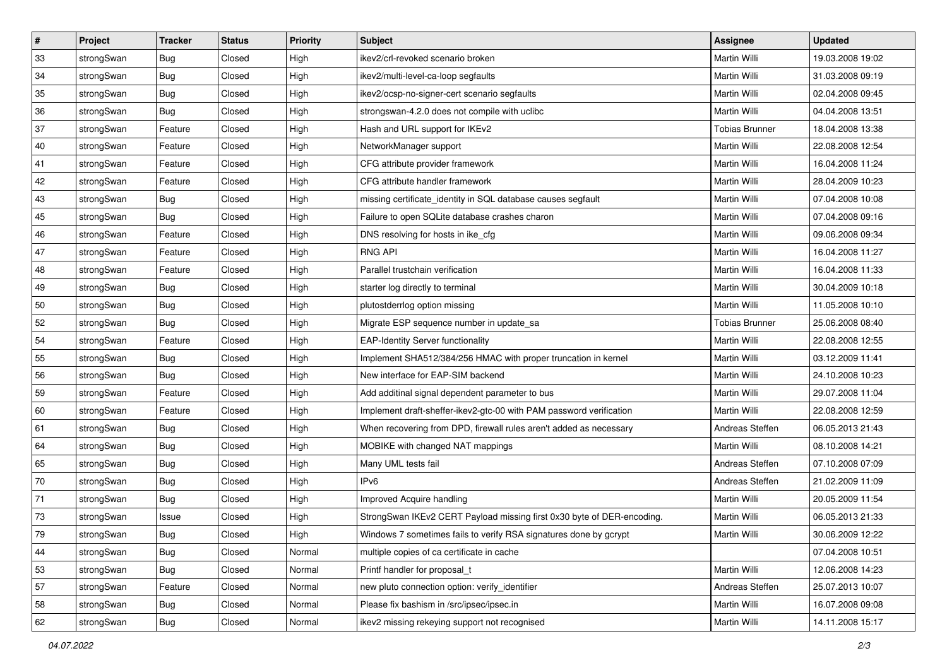| $\vert$ # | Project    | <b>Tracker</b> | <b>Status</b> | Priority | <b>Subject</b>                                                         | <b>Assignee</b>       | <b>Updated</b>   |
|-----------|------------|----------------|---------------|----------|------------------------------------------------------------------------|-----------------------|------------------|
| 33        | strongSwan | <b>Bug</b>     | Closed        | High     | ikev2/crl-revoked scenario broken                                      | Martin Willi          | 19.03.2008 19:02 |
| 34        | strongSwan | Bug            | Closed        | High     | ikev2/multi-level-ca-loop segfaults                                    | Martin Willi          | 31.03.2008 09:19 |
| 35        | strongSwan | <b>Bug</b>     | Closed        | High     | ikev2/ocsp-no-signer-cert scenario segfaults                           | Martin Willi          | 02.04.2008 09:45 |
| 36        | strongSwan | <b>Bug</b>     | Closed        | High     | strongswan-4.2.0 does not compile with uclibc                          | Martin Willi          | 04.04.2008 13:51 |
| 37        | strongSwan | Feature        | Closed        | High     | Hash and URL support for IKEv2                                         | <b>Tobias Brunner</b> | 18.04.2008 13:38 |
| 40        | strongSwan | Feature        | Closed        | High     | NetworkManager support                                                 | Martin Willi          | 22.08.2008 12:54 |
| 41        | strongSwan | Feature        | Closed        | High     | CFG attribute provider framework                                       | Martin Willi          | 16.04.2008 11:24 |
| 42        | strongSwan | Feature        | Closed        | High     | CFG attribute handler framework                                        | Martin Willi          | 28.04.2009 10:23 |
| 43        | strongSwan | Bug            | Closed        | High     | missing certificate_identity in SQL database causes segfault           | Martin Willi          | 07.04.2008 10:08 |
| 45        | strongSwan | Bug            | Closed        | High     | Failure to open SQLite database crashes charon                         | Martin Willi          | 07.04.2008 09:16 |
| 46        | strongSwan | Feature        | Closed        | High     | DNS resolving for hosts in ike_cfg                                     | Martin Willi          | 09.06.2008 09:34 |
| 47        | strongSwan | Feature        | Closed        | High     | <b>RNG API</b>                                                         | Martin Willi          | 16.04.2008 11:27 |
| 48        | strongSwan | Feature        | Closed        | High     | Parallel trustchain verification                                       | Martin Willi          | 16.04.2008 11:33 |
| 49        | strongSwan | Bug            | Closed        | High     | starter log directly to terminal                                       | Martin Willi          | 30.04.2009 10:18 |
| 50        | strongSwan | Bug            | Closed        | High     | plutostderrlog option missing                                          | Martin Willi          | 11.05.2008 10:10 |
| 52        | strongSwan | <b>Bug</b>     | Closed        | High     | Migrate ESP sequence number in update_sa                               | <b>Tobias Brunner</b> | 25.06.2008 08:40 |
| 54        | strongSwan | Feature        | Closed        | High     | <b>EAP-Identity Server functionality</b>                               | Martin Willi          | 22.08.2008 12:55 |
| 55        | strongSwan | Bug            | Closed        | High     | Implement SHA512/384/256 HMAC with proper truncation in kernel         | Martin Willi          | 03.12.2009 11:41 |
| 56        | strongSwan | <b>Bug</b>     | Closed        | High     | New interface for EAP-SIM backend                                      | Martin Willi          | 24.10.2008 10:23 |
| 59        | strongSwan | Feature        | Closed        | High     | Add additinal signal dependent parameter to bus                        | Martin Willi          | 29.07.2008 11:04 |
| 60        | strongSwan | Feature        | Closed        | High     | Implement draft-sheffer-ikev2-gtc-00 with PAM password verification    | Martin Willi          | 22.08.2008 12:59 |
| 61        | strongSwan | <b>Bug</b>     | Closed        | High     | When recovering from DPD, firewall rules aren't added as necessary     | Andreas Steffen       | 06.05.2013 21:43 |
| 64        | strongSwan | Bug            | Closed        | High     | MOBIKE with changed NAT mappings                                       | Martin Willi          | 08.10.2008 14:21 |
| 65        | strongSwan | Bug            | Closed        | High     | Many UML tests fail                                                    | Andreas Steffen       | 07.10.2008 07:09 |
| 70        | strongSwan | <b>Bug</b>     | Closed        | High     | IP <sub>v6</sub>                                                       | Andreas Steffen       | 21.02.2009 11:09 |
| 71        | strongSwan | Bug            | Closed        | High     | Improved Acquire handling                                              | Martin Willi          | 20.05.2009 11:54 |
| 73        | strongSwan | Issue          | Closed        | High     | StrongSwan IKEv2 CERT Payload missing first 0x30 byte of DER-encoding. | Martin Willi          | 06.05.2013 21:33 |
| 79        | strongSwan | i Bug          | Closed        | High     | Windows 7 sometimes fails to verify RSA signatures done by gcrypt      | Martin Willi          | 30.06.2009 12:22 |
| 44        | strongSwan | Bug            | Closed        | Normal   | multiple copies of ca certificate in cache                             |                       | 07.04.2008 10:51 |
| 53        | strongSwan | Bug            | Closed        | Normal   | Printf handler for proposal t                                          | Martin Willi          | 12.06.2008 14:23 |
| 57        | strongSwan | Feature        | Closed        | Normal   | new pluto connection option: verify_identifier                         | Andreas Steffen       | 25.07.2013 10:07 |
| 58        | strongSwan | Bug            | Closed        | Normal   | Please fix bashism in /src/ipsec/ipsec.in                              | Martin Willi          | 16.07.2008 09:08 |
| 62        | strongSwan | <b>Bug</b>     | Closed        | Normal   | ikev2 missing rekeying support not recognised                          | Martin Willi          | 14.11.2008 15:17 |